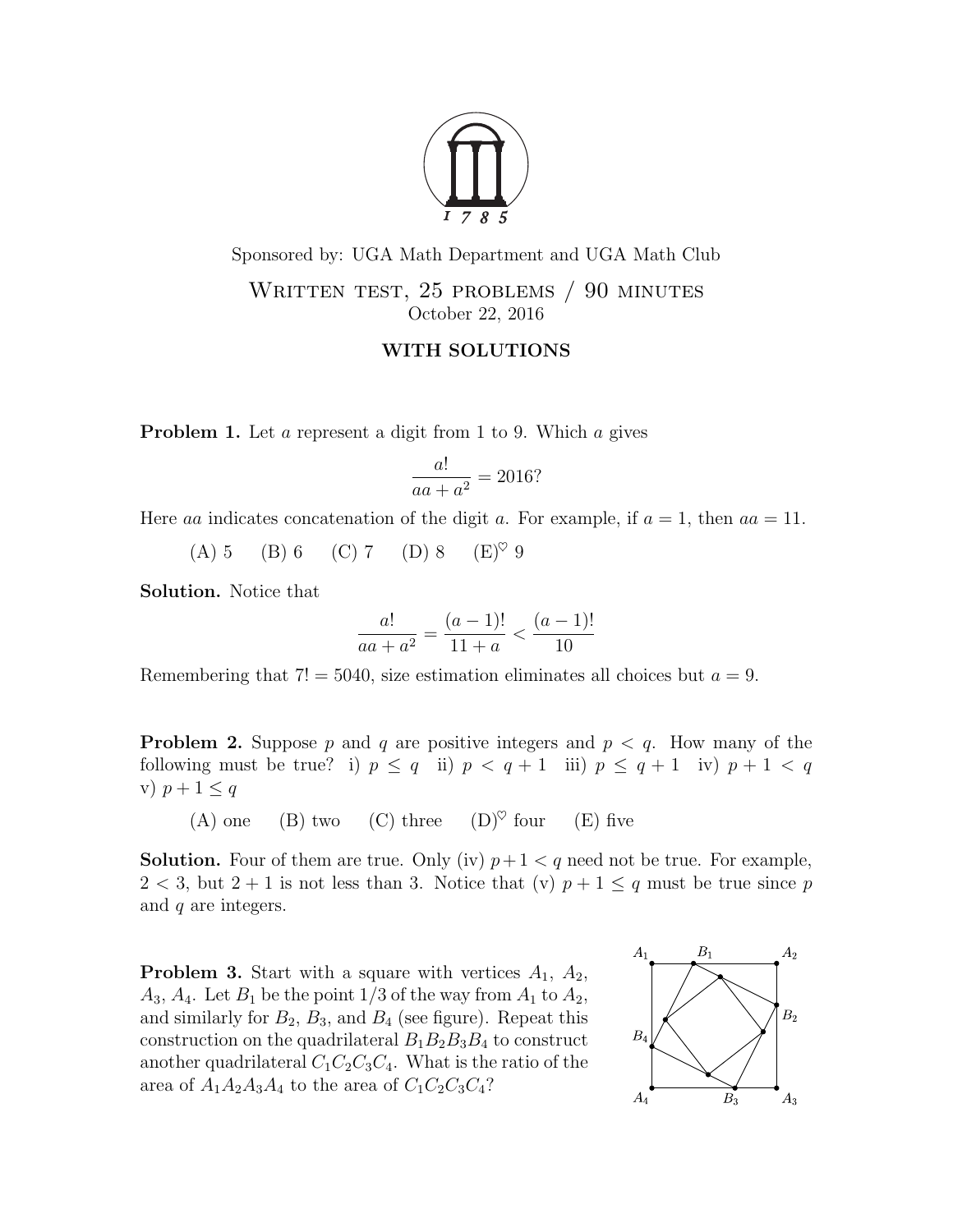

Sponsored by: UGA Math Department and UGA Math Club WRITTEN TEST, 25 PROBLEMS / 90 MINUTES October 22, 2016

## WITH SOLUTIONS

**Problem 1.** Let a represent a digit from 1 to 9. Which a gives

$$
\frac{a!}{aa+a^2} = 2016?
$$

Here aa indicates concatenation of the digit a. For example, if  $a = 1$ , then  $aa = 11$ .

(A) 5 (B) 6 (C) 7 (D) 8  $(E)^\heartsuit$  9

Solution. Notice that

$$
\frac{a!}{aa + a^2} = \frac{(a-1)!}{11 + a} < \frac{(a-1)!}{10}
$$

Remembering that  $7! = 5040$ , size estimation eliminates all choices but  $a = 9$ .

**Problem 2.** Suppose p and q are positive integers and  $p < q$ . How many of the following must be true? i)  $p \leq q$  ii)  $p < q + 1$  iii)  $p \leq q + 1$  iv)  $p + 1 < q$ v)  $p+1 \leq q$ 

(A) one (B) two (C) three  $(D)^\heartsuit$  four (E) five

**Solution.** Four of them are true. Only (iv)  $p+1 < q$  need not be true. For example,  $2 < 3$ , but  $2 + 1$  is not less than 3. Notice that (v)  $p + 1 \leq q$  must be true since p and q are integers.

**Problem 3.** Start with a square with vertices  $A_1$ ,  $A_2$ ,  $A_3, A_4$ . Let  $B_1$  be the point 1/3 of the way from  $A_1$  to  $A_2$ , and similarly for  $B_2$ ,  $B_3$ , and  $B_4$  (see figure). Repeat this construction on the quadrilateral  $B_1B_2B_3B_4$  to construct another quadrilateral  $C_1C_2C_3C_4$ . What is the ratio of the area of  $A_1A_2A_3A_4$  to the area of  $C_1C_2C_3C_4$ ?

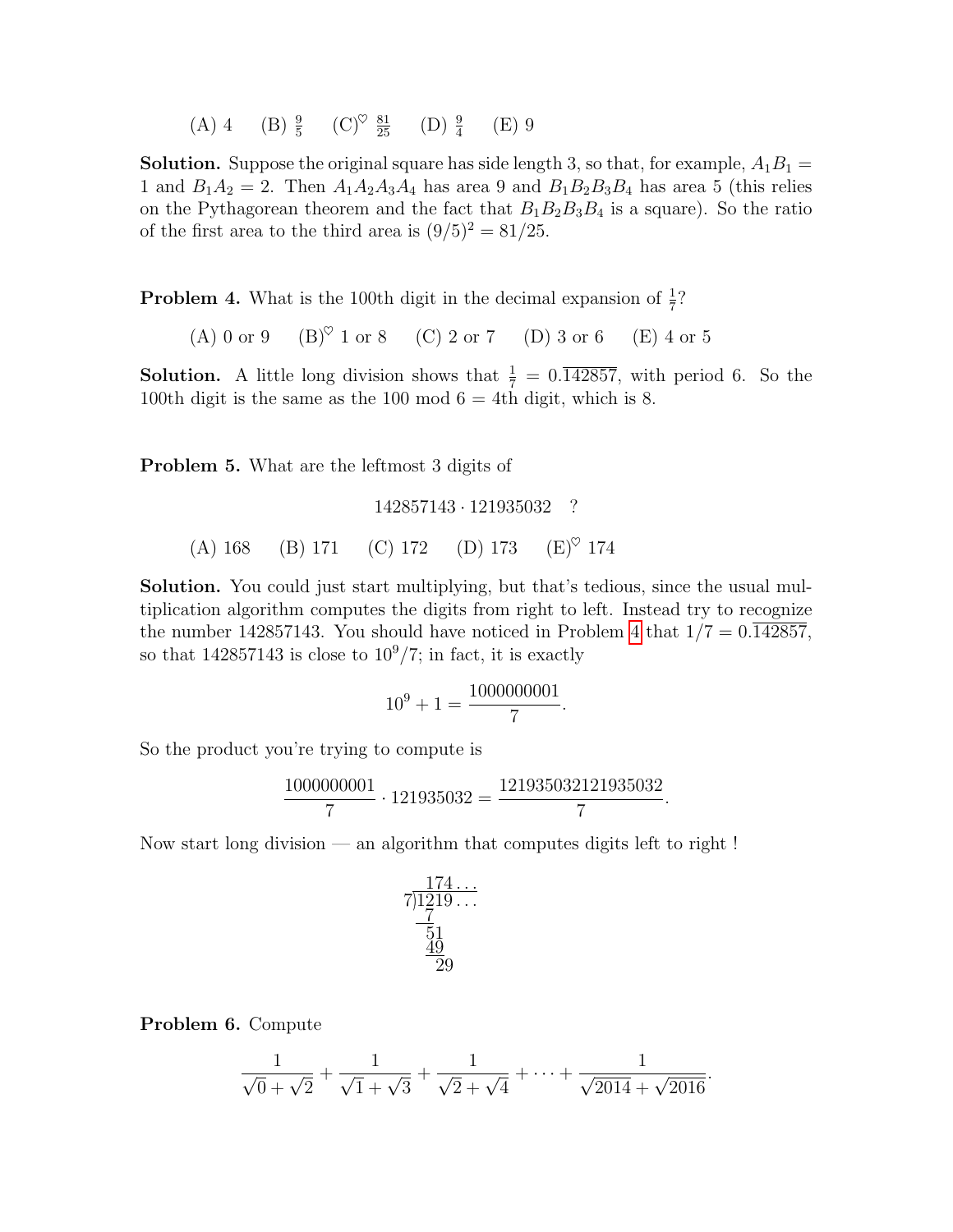(A) 4 (B)  $\frac{9}{5}$  (C)<sup> $\heartsuit$ </sup>  $\frac{81}{25}$  (D)  $\frac{9}{4}$  (E) 9

**Solution.** Suppose the original square has side length 3, so that, for example,  $A_1B_1 =$ 1 and  $B_1A_2 = 2$ . Then  $A_1A_2A_3A_4$  has area 9 and  $B_1B_2B_3B_4$  has area 5 (this relies on the Pythagorean theorem and the fact that  $B_1B_2B_3B_4$  is a square). So the ratio of the first area to the third area is  $(9/5)^2 = 81/25$ .

<span id="page-1-0"></span>**Problem 4.** What is the 100th digit in the decimal expansion of  $\frac{1}{7}$ ?

(A) 0 or 9 (B) $^{\circ}$  1 or 8 (C) 2 or 7 (D) 3 or 6 (E) 4 or 5

**Solution.** A little long division shows that  $\frac{1}{7} = 0.\overline{142857}$ , with period 6. So the 100th digit is the same as the 100 mod  $6 = 4$ th digit, which is 8.

Problem 5. What are the leftmost 3 digits of

142857143 · 121935032 ? (A) 168 (B) 171 (C) 172 (D) 173 (E)<sup> $\heartsuit$ </sup> 174

Solution. You could just start multiplying, but that's tedious, since the usual multiplication algorithm computes the digits from right to left. Instead try to recognize the number 142857143. You should have noticed in Problem [4](#page-1-0) that  $1/7 = 0.\overline{142857}$ , so that 142857143 is close to  $10^9/7$ ; in fact, it is exactly

$$
10^9 + 1 = \frac{1000000001}{7}.
$$

So the product you're trying to compute is

$$
\frac{1000000001}{7} \cdot 121935032 = \frac{121935032121935032}{7}.
$$

Now start long division — an algorithm that computes digits left to right !

$$
\begin{array}{r} 174 \dots \\ 7)1219 \dots \\ \underline{7} \\ 51 \\ \underline{49} \\ 29 \end{array}
$$

Problem 6. Compute

$$
\frac{1}{\sqrt{0} + \sqrt{2}} + \frac{1}{\sqrt{1} + \sqrt{3}} + \frac{1}{\sqrt{2} + \sqrt{4}} + \dots + \frac{1}{\sqrt{2014} + \sqrt{2016}}.
$$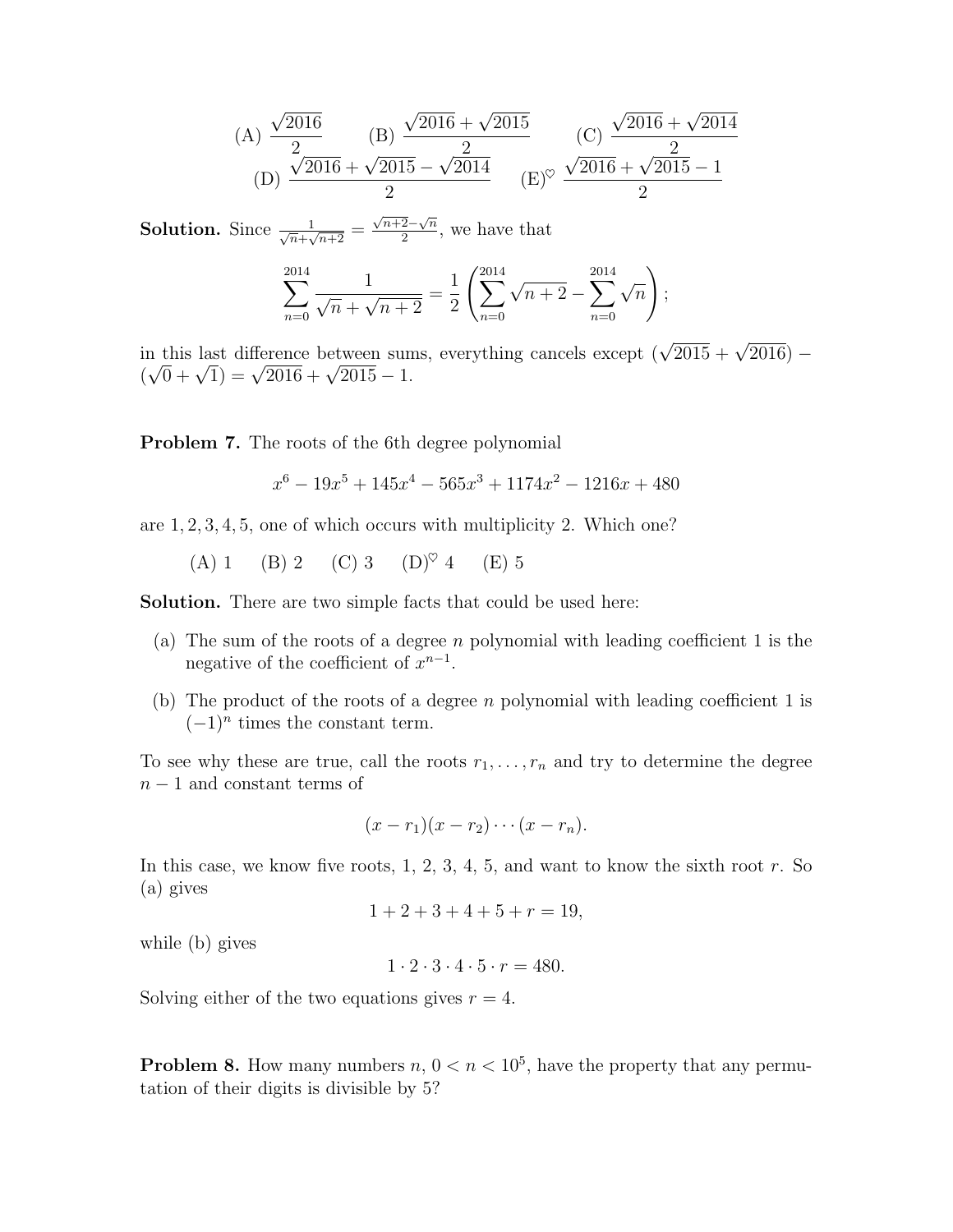(A) 
$$
\frac{\sqrt{2016}}{2}
$$
 (B)  $\frac{\sqrt{2016} + \sqrt{2015}}{2}$  (C)  $\frac{\sqrt{2016} + \sqrt{2014}}{2}$   
(D)  $\frac{\sqrt{2016} + \sqrt{2015} - \sqrt{2014}}{2}$  (E)<sup>°</sup>  $\frac{\sqrt{2016} + \sqrt{2015} - 1}{2}$ 

**Solution.** Since  $\frac{1}{\sqrt{n}+\sqrt{n+2}}$  =  $\sqrt{n+2}-\sqrt{n}$  $\frac{2-\sqrt{n}}{2}$ , we have that

$$
\sum_{n=0}^{2014} \frac{1}{\sqrt{n} + \sqrt{n+2}} = \frac{1}{2} \left( \sum_{n=0}^{2014} \sqrt{n+2} - \sum_{n=0}^{2014} \sqrt{n} \right);
$$

in this last difference between sums, everything cancels except  $(\sqrt{2015} + \sqrt{2016})$  – in this last difference between sun<br>  $(\sqrt{0} + \sqrt{1}) = \sqrt{2016} + \sqrt{2015} - 1.$ 

Problem 7. The roots of the 6th degree polynomial

$$
x^{6} - 19x^{5} + 145x^{4} - 565x^{3} + 1174x^{2} - 1216x + 480
$$

are 1, 2, 3, 4, 5, one of which occurs with multiplicity 2. Which one?

(A) 1 (B) 2 (C) 3 (D)<sup> $\heartsuit$ </sup> 4 (E) 5

Solution. There are two simple facts that could be used here:

- (a) The sum of the roots of a degree n polynomial with leading coefficient 1 is the negative of the coefficient of  $x^{n-1}$ .
- (b) The product of the roots of a degree n polynomial with leading coefficient 1 is  $(-1)^n$  times the constant term.

To see why these are true, call the roots  $r_1, \ldots, r_n$  and try to determine the degree  $n-1$  and constant terms of

$$
(x-r_1)(x-r_2)\cdots(x-r_n).
$$

In this case, we know five roots,  $1, 2, 3, 4, 5$ , and want to know the sixth root r. So (a) gives

$$
1 + 2 + 3 + 4 + 5 + r = 19,
$$

while (b) gives

 $1 \cdot 2 \cdot 3 \cdot 4 \cdot 5 \cdot r = 480.$ 

Solving either of the two equations gives  $r = 4$ .

**Problem 8.** How many numbers  $n, 0 < n < 10^5$ , have the property that any permutation of their digits is divisible by 5?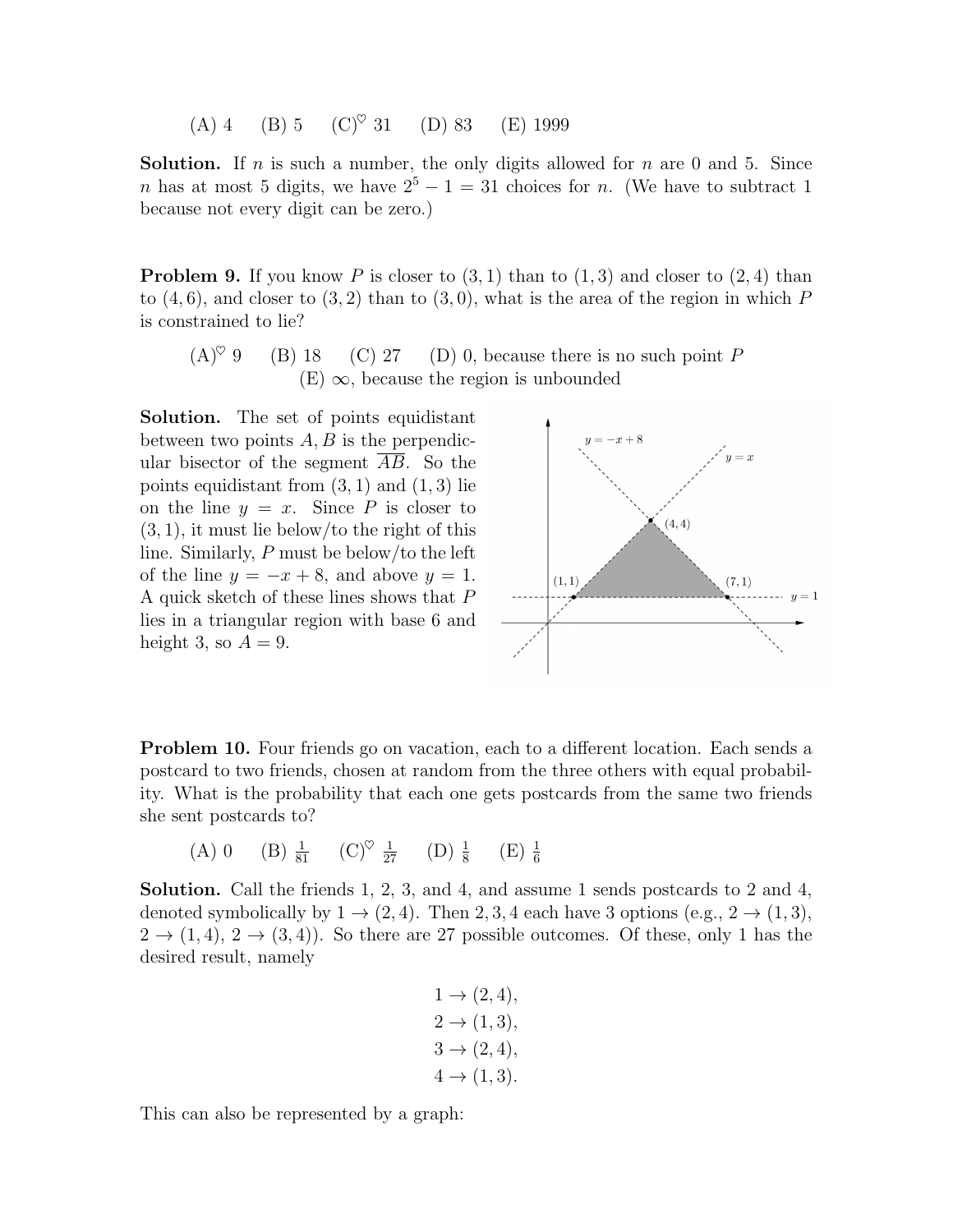(A) 4 (B) 5 (C)<sup> $\heartsuit$ </sup> 31 (D) 83 (E) 1999

**Solution.** If n is such a number, the only digits allowed for n are 0 and 5. Since n has at most 5 digits, we have  $2^5 - 1 = 31$  choices for n. (We have to subtract 1 because not every digit can be zero.)

**Problem 9.** If you know P is closer to  $(3, 1)$  than to  $(1, 3)$  and closer to  $(2, 4)$  than to  $(4, 6)$ , and closer to  $(3, 2)$  than to  $(3, 0)$ , what is the area of the region in which P is constrained to lie?

 $(A)^\heartsuit$  9 (B) 18 (C) 27 (D) 0, because there is no such point P  $(E)$   $\infty$ , because the region is unbounded

Solution. The set of points equidistant between two points  $A, B$  is the perpendicular bisector of the segment AB. So the points equidistant from  $(3, 1)$  and  $(1, 3)$  lie on the line  $y = x$ . Since P is closer to  $(3, 1)$ , it must lie below/to the right of this line. Similarly, P must be below/to the left of the line  $y = -x + 8$ , and above  $y = 1$ . A quick sketch of these lines shows that P lies in a triangular region with base 6 and height 3, so  $A = 9$ .



Problem 10. Four friends go on vacation, each to a different location. Each sends a postcard to two friends, chosen at random from the three others with equal probability. What is the probability that each one gets postcards from the same two friends she sent postcards to?

(A) 0 (B) 
$$
\frac{1}{81}
$$
 (C)<sup>°</sup>  $\frac{1}{27}$  (D)  $\frac{1}{8}$  (E)  $\frac{1}{6}$ 

Solution. Call the friends 1, 2, 3, and 4, and assume 1 sends postcards to 2 and 4, denoted symbolically by  $1 \rightarrow (2, 4)$ . Then 2, 3, 4 each have 3 options (e.g.,  $2 \rightarrow (1, 3)$ ,  $2 \rightarrow (1, 4), 2 \rightarrow (3, 4)$ . So there are 27 possible outcomes. Of these, only 1 has the desired result, namely

$$
1 \to (2, 4), \n2 \to (1, 3), \n3 \to (2, 4), \n4 \to (1, 3).
$$

This can also be represented by a graph: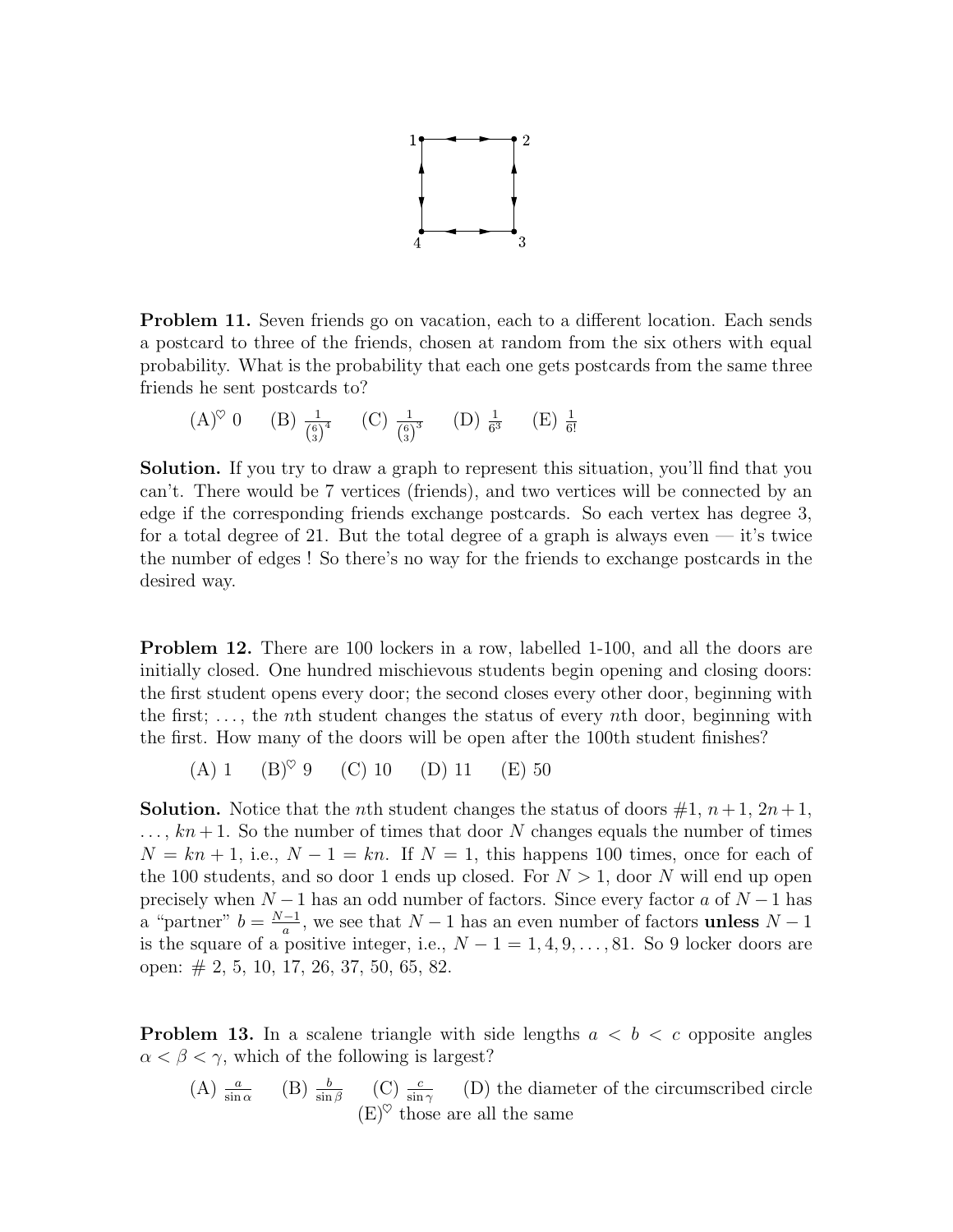

Problem 11. Seven friends go on vacation, each to a different location. Each sends a postcard to three of the friends, chosen at random from the six others with equal probability. What is the probability that each one gets postcards from the same three friends he sent postcards to?

$$
(A)^{\heartsuit} 0
$$
 (B)  $\frac{1}{\binom{6}{3}^4}$  (C)  $\frac{1}{\binom{6}{3}^3}$  (D)  $\frac{1}{6^3}$  (E)  $\frac{1}{6!}$ 

Solution. If you try to draw a graph to represent this situation, you'll find that you can't. There would be 7 vertices (friends), and two vertices will be connected by an edge if the corresponding friends exchange postcards. So each vertex has degree 3, for a total degree of 21. But the total degree of a graph is always even — it's twice the number of edges ! So there's no way for the friends to exchange postcards in the desired way.

**Problem 12.** There are 100 lockers in a row, labelled 1-100, and all the doors are initially closed. One hundred mischievous students begin opening and closing doors: the first student opens every door; the second closes every other door, beginning with the first;  $\dots$ , the *n*th student changes the status of every *n*th door, beginning with the first. How many of the doors will be open after the 100th student finishes?

(A) 1 (B)♥ 9 (C) 10 (D) 11 (E) 50

**Solution.** Notice that the *n*th student changes the status of doors  $\#1$ ,  $n+1$ ,  $2n+1$ ,  $\ldots$ ,  $kn+1$ . So the number of times that door N changes equals the number of times  $N = kn + 1$ , i.e.,  $N - 1 = kn$ . If  $N = 1$ , this happens 100 times, once for each of the 100 students, and so door 1 ends up closed. For  $N > 1$ , door N will end up open precisely when  $N-1$  has an odd number of factors. Since every factor a of  $N-1$  has a "partner"  $b = \frac{N-1}{a}$  $\frac{-1}{a}$ , we see that  $N-1$  has an even number of factors **unless**  $N-1$ is the square of a positive integer, i.e.,  $N-1=1,4,9,\ldots,81$ . So 9 locker doors are open: # 2, 5, 10, 17, 26, 37, 50, 65, 82.

<span id="page-4-0"></span>**Problem 13.** In a scalene triangle with side lengths  $a < b < c$  opposite angles  $\alpha < \beta < \gamma$ , which of the following is largest?

(A)  $\frac{a}{\sin \alpha}$  (B)  $\frac{b}{\sin \beta}$  (C)  $\frac{c}{\sin \gamma}$  (D) the diameter of the circumscribed circle  $(E)^\heartsuit$  those are all the same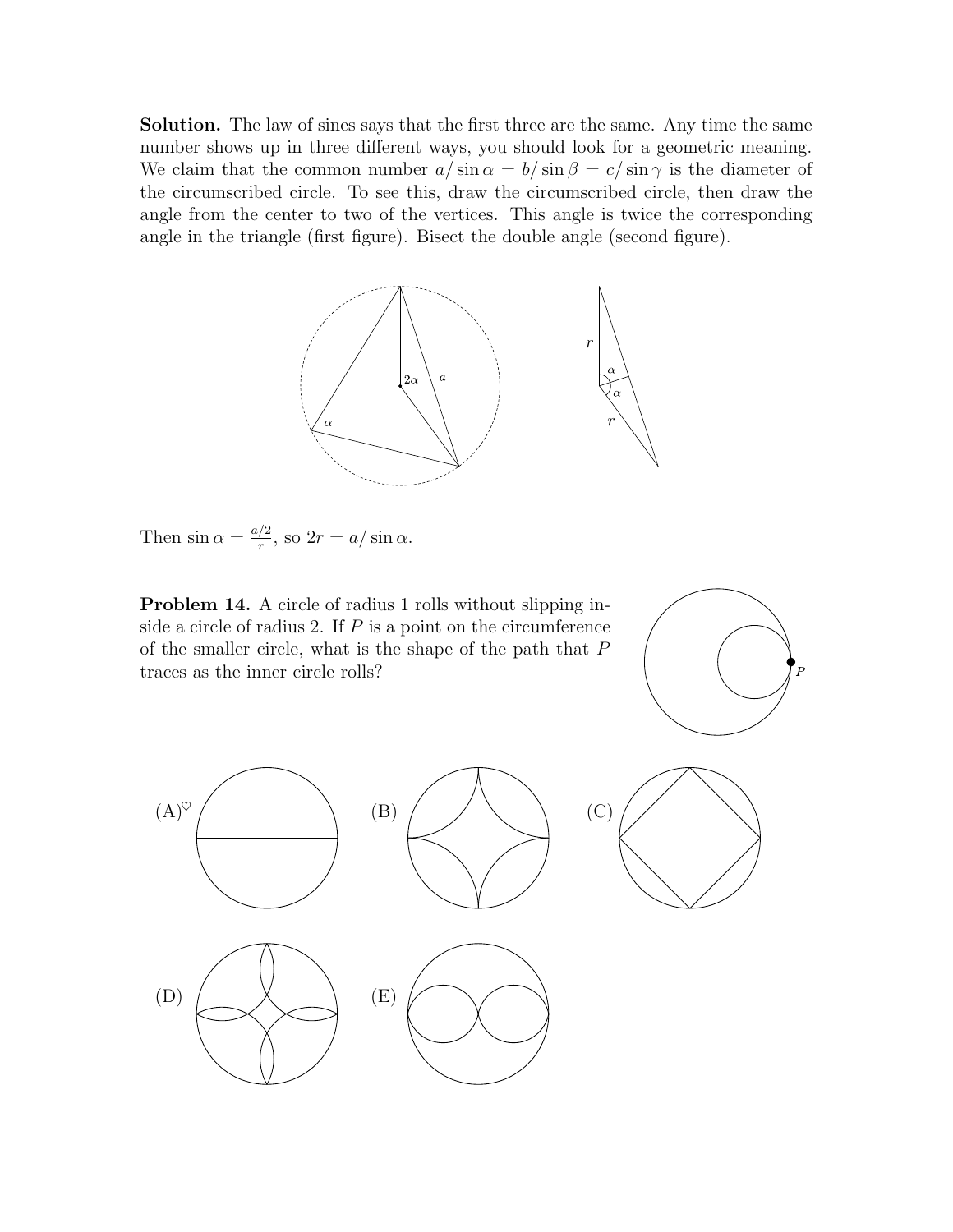Solution. The law of sines says that the first three are the same. Any time the same number shows up in three different ways, you should look for a geometric meaning. We claim that the common number  $a/\sin \alpha = b/\sin \beta = c/\sin \gamma$  is the diameter of the circumscribed circle. To see this, draw the circumscribed circle, then draw the angle from the center to two of the vertices. This angle is twice the corresponding angle in the triangle (first figure). Bisect the double angle (second figure).



Then  $\sin \alpha = \frac{a/2}{r}$  $\frac{7^2}{r}$ , so  $2r = a/\sin \alpha$ .

Problem 14. A circle of radius 1 rolls without slipping inside a circle of radius 2. If  $P$  is a point on the circumference of the smaller circle, what is the shape of the path that P traces as the inner circle rolls?





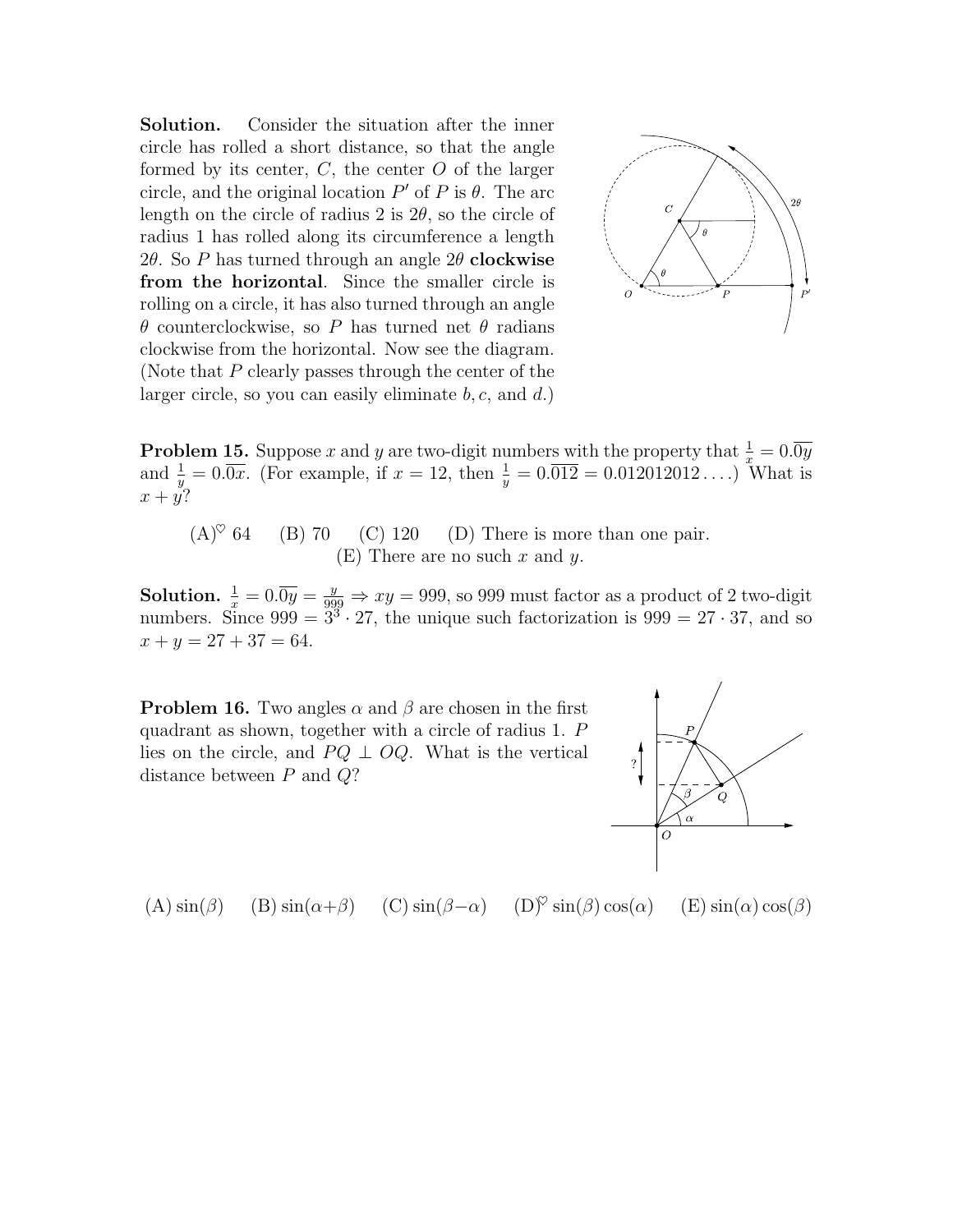Solution. Consider the situation after the inner circle has rolled a short distance, so that the angle formed by its center,  $C$ , the center  $O$  of the larger circle, and the original location  $P'$  of P is  $\theta$ . The arc length on the circle of radius 2 is  $2\theta$ , so the circle of radius 1 has rolled along its circumference a length 2 $\theta$ . So P has turned through an angle 2 $\theta$  clockwise from the horizontal. Since the smaller circle is rolling on a circle, it has also turned through an angle θ counterclockwise, so P has turned net θ radians clockwise from the horizontal. Now see the diagram. (Note that P clearly passes through the center of the larger circle, so you can easily eliminate  $b, c$ , and  $d$ .)



**Problem 15.** Suppose x and y are two-digit numbers with the property that  $\frac{1}{x} = 0.\overline{0y}$ and  $\frac{1}{y} = 0.\overline{0x}$ . (For example, if  $x = 12$ , then  $\frac{1}{y} = 0.\overline{012} = 0.012012012...$ ) What is  $x + y$ ?

 $(A)^\heartsuit$  64 (B) 70 (C) 120 (D) There is more than one pair.  $(E)$  There are no such x and y.

**Solution.**  $\frac{1}{x} = 0.\overline{0y} = \frac{y}{999} \Rightarrow xy = 999$ , so 999 must factor as a product of 2 two-digit numbers. Since  $999 = 3^3 \cdot 27$ , the unique such factorization is  $999 = 27 \cdot 37$ , and so  $x + y = 27 + 37 = 64.$ 

**Problem 16.** Two angles  $\alpha$  and  $\beta$  are chosen in the first quadrant as shown, together with a circle of radius 1. P lies on the circle, and  $PQ \perp OQ$ . What is the vertical distance between P and Q?



(A)  $\sin(\beta)$  (B)  $\sin(\alpha+\beta)$  (C)  $\sin(\beta-\alpha)$  (D)<sup> $\heartsuit$ </sup>  $\sin(\beta)\cos(\alpha)$  (E)  $\sin(\alpha)\cos(\beta)$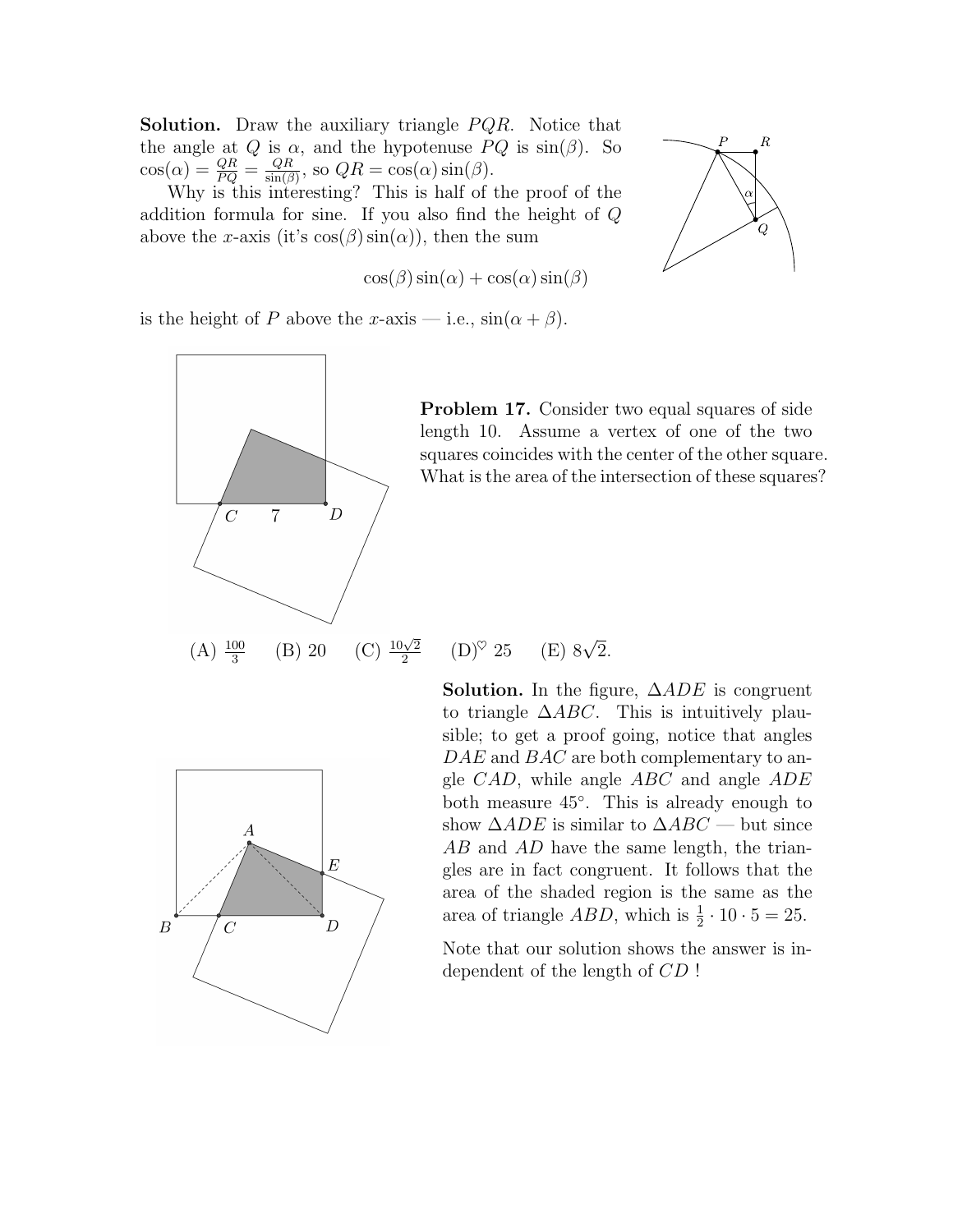**Solution.** Draw the auxiliary triangle  $PQR$ . Notice that the angle at Q is  $\alpha$ , and the hypotenuse  $PQ$  is  $\sin(\beta)$ . So  $\cos(\alpha) = \frac{QR}{PQ} = \frac{QR}{\sin(\beta)}$  $\frac{QR}{\sin(\beta)}$ , so  $QR = \cos(\alpha) \sin(\beta)$ .

Why is this interesting? This is half of the proof of the addition formula for sine. If you also find the height of Q above the x-axis (it's  $cos(\beta) sin(\alpha)$ ), then the sum

$$
\cos(\beta)\sin(\alpha) + \cos(\alpha)\sin(\beta)
$$



is the height of P above the x-axis — i.e.,  $\sin(\alpha + \beta)$ .



<span id="page-7-0"></span>Problem 17. Consider two equal squares of side length 10. Assume a vertex of one of the two squares coincides with the center of the other square. What is the area of the intersection of these squares?

 $(A) \frac{100}{3}$ 2  $(D)^\heartsuit$  25 (E)  $8\sqrt{2}$ .



**Solution.** In the figure,  $\triangle ADE$  is congruent to triangle  $\triangle ABC$ . This is intuitively plausible; to get a proof going, notice that angles DAE and BAC are both complementary to angle  $CAD$ , while angle  $ABC$  and angle  $ADE$ both measure 45◦ . This is already enough to show  $\triangle ADE$  is similar to  $\triangle ABC$  — but since AB and AD have the same length, the triangles are in fact congruent. It follows that the area of the shaded region is the same as the area of triangle  $ABD$ , which is  $\frac{1}{2} \cdot 10 \cdot 5 = 25$ .

Note that our solution shows the answer is independent of the length of CD !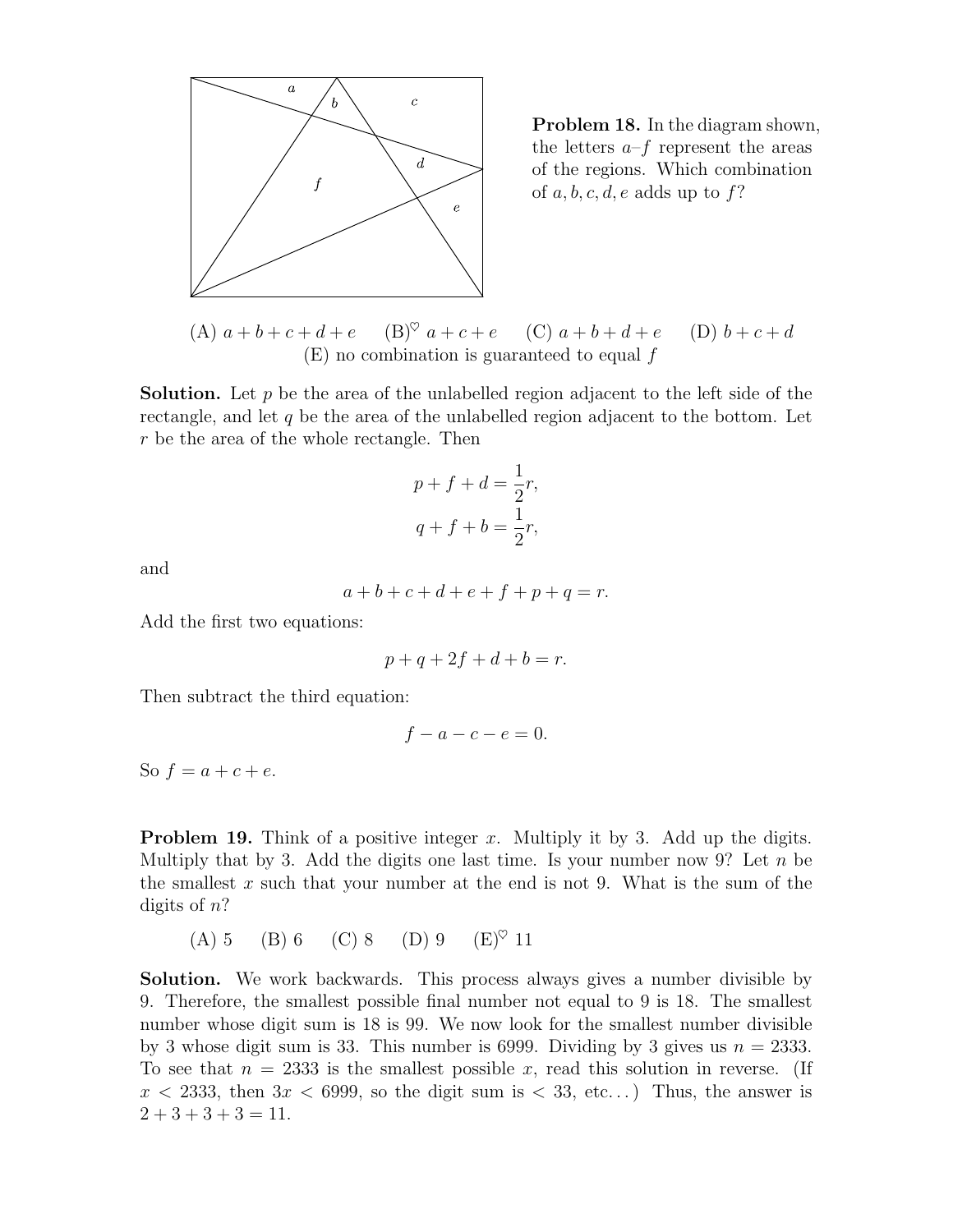

Problem 18. In the diagram shown, the letters  $a-f$  represent the areas of the regions. Which combination of  $a, b, c, d, e$  adds up to f?

(A)  $a + b + c + d + e$  (B)<sup> $\heartsuit$ </sup>  $a + c + e$  (C)  $a + b + d + e$  (D)  $b + c + d$  $(E)$  no combination is guaranteed to equal  $f$ 

**Solution.** Let p be the area of the unlabelled region adjacent to the left side of the rectangle, and let  $q$  be the area of the unlabelled region adjacent to the bottom. Let r be the area of the whole rectangle. Then

$$
p + f + d = \frac{1}{2}r,
$$
  

$$
q + f + b = \frac{1}{2}r,
$$

and

$$
a + b + c + d + e + f + p + q = r.
$$

Add the first two equations:

$$
p + q + 2f + d + b = r.
$$

Then subtract the third equation:

$$
f - a - c - e = 0.
$$

So  $f = a + c + e$ .

**Problem 19.** Think of a positive integer x. Multiply it by 3. Add up the digits. Multiply that by 3. Add the digits one last time. Is your number now 9? Let  $n$  be the smallest  $x$  such that your number at the end is not 9. What is the sum of the digits of  $n$ ?

(A) 5 (B) 6 (C) 8 (D) 9  $(E)^\heartsuit$  11

Solution. We work backwards. This process always gives a number divisible by 9. Therefore, the smallest possible final number not equal to 9 is 18. The smallest number whose digit sum is 18 is 99. We now look for the smallest number divisible by 3 whose digit sum is 33. This number is 6999. Dividing by 3 gives us  $n = 2333$ . To see that  $n = 2333$  is the smallest possible x, read this solution in reverse. (If  $x < 2333$ , then  $3x < 6999$ , so the digit sum is  $< 33$ , etc...) Thus, the answer is  $2 + 3 + 3 + 3 = 11.$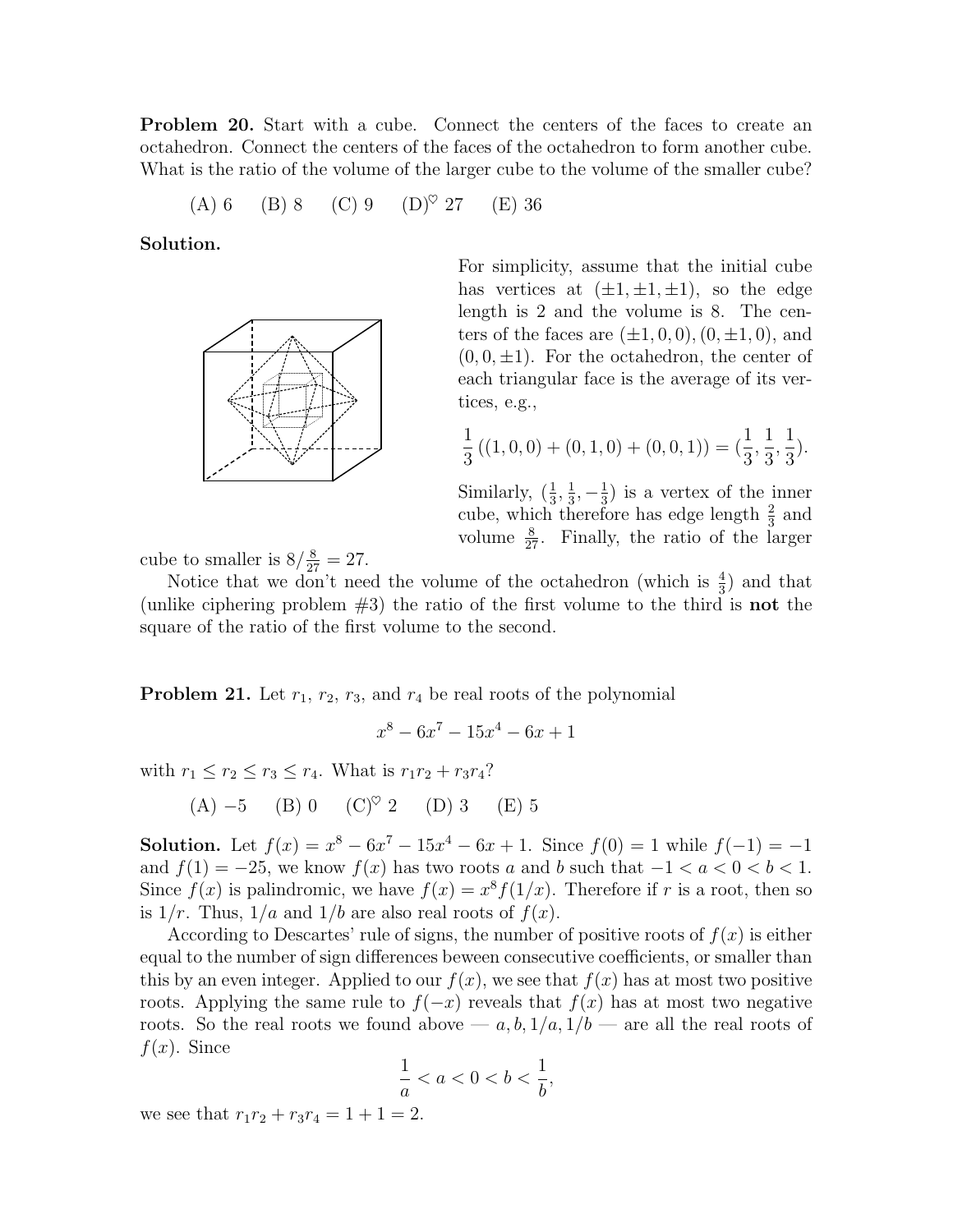**Problem 20.** Start with a cube. Connect the centers of the faces to create an octahedron. Connect the centers of the faces of the octahedron to form another cube. What is the ratio of the volume of the larger cube to the volume of the smaller cube?

(A) 6 (B) 8 (C) 9 (D)♥ 27 (E) 36

Solution.



For simplicity, assume that the initial cube has vertices at  $(\pm 1, \pm 1, \pm 1)$ , so the edge length is 2 and the volume is 8. The centers of the faces are  $(\pm 1, 0, 0), (0, \pm 1, 0)$ , and  $(0, 0, \pm 1)$ . For the octahedron, the center of each triangular face is the average of its vertices, e.g.,

$$
\frac{1}{3}((1,0,0) + (0,1,0) + (0,0,1)) = (\frac{1}{3}, \frac{1}{3}, \frac{1}{3}).
$$

Similarly,  $\left(\frac{1}{3}, \frac{1}{3}\right)$  $\frac{1}{3}, -\frac{1}{3}$  $(\frac{1}{3})$  is a vertex of the inner cube, which therefore has edge length  $\frac{2}{3}$  and volume  $\frac{8}{27}$ . Finally, the ratio of the larger

cube to smaller is  $8/\frac{8}{27} = 27$ .

Notice that we don't need the volume of the octahedron (which is  $\frac{4}{3}$ ) and that (unlike ciphering problem  $#3$ ) the ratio of the first volume to the third is **not** the square of the ratio of the first volume to the second.

**Problem 21.** Let  $r_1$ ,  $r_2$ ,  $r_3$ , and  $r_4$  be real roots of the polynomial

$$
x^8 - 6x^7 - 15x^4 - 6x + 1
$$

with  $r_1 \le r_2 \le r_3 \le r_4$ . What is  $r_1r_2 + r_3r_4$ ?

(A) −5 (B) 0 (C)♥ 2 (D) 3 (E) 5

**Solution.** Let  $f(x) = x^8 - 6x^7 - 15x^4 - 6x + 1$ . Since  $f(0) = 1$  while  $f(-1) = -1$ and  $f(1) = -25$ , we know  $f(x)$  has two roots a and b such that  $-1 < a < 0 < b < 1$ . Since  $f(x)$  is palindromic, we have  $f(x) = x^8 f(1/x)$ . Therefore if r is a root, then so is  $1/r$ . Thus,  $1/a$  and  $1/b$  are also real roots of  $f(x)$ .

According to Descartes' rule of signs, the number of positive roots of  $f(x)$  is either equal to the number of sign differences beween consecutive coefficients, or smaller than this by an even integer. Applied to our  $f(x)$ , we see that  $f(x)$  has at most two positive roots. Applying the same rule to  $f(-x)$  reveals that  $f(x)$  has at most two negative roots. So the real roots we found above —  $a, b, 1/a, 1/b$  — are all the real roots of  $f(x)$ . Since

$$
\frac{1}{a} < a < 0 < b < \frac{1}{b},
$$

we see that  $r_1r_2 + r_3r_4 = 1 + 1 = 2$ .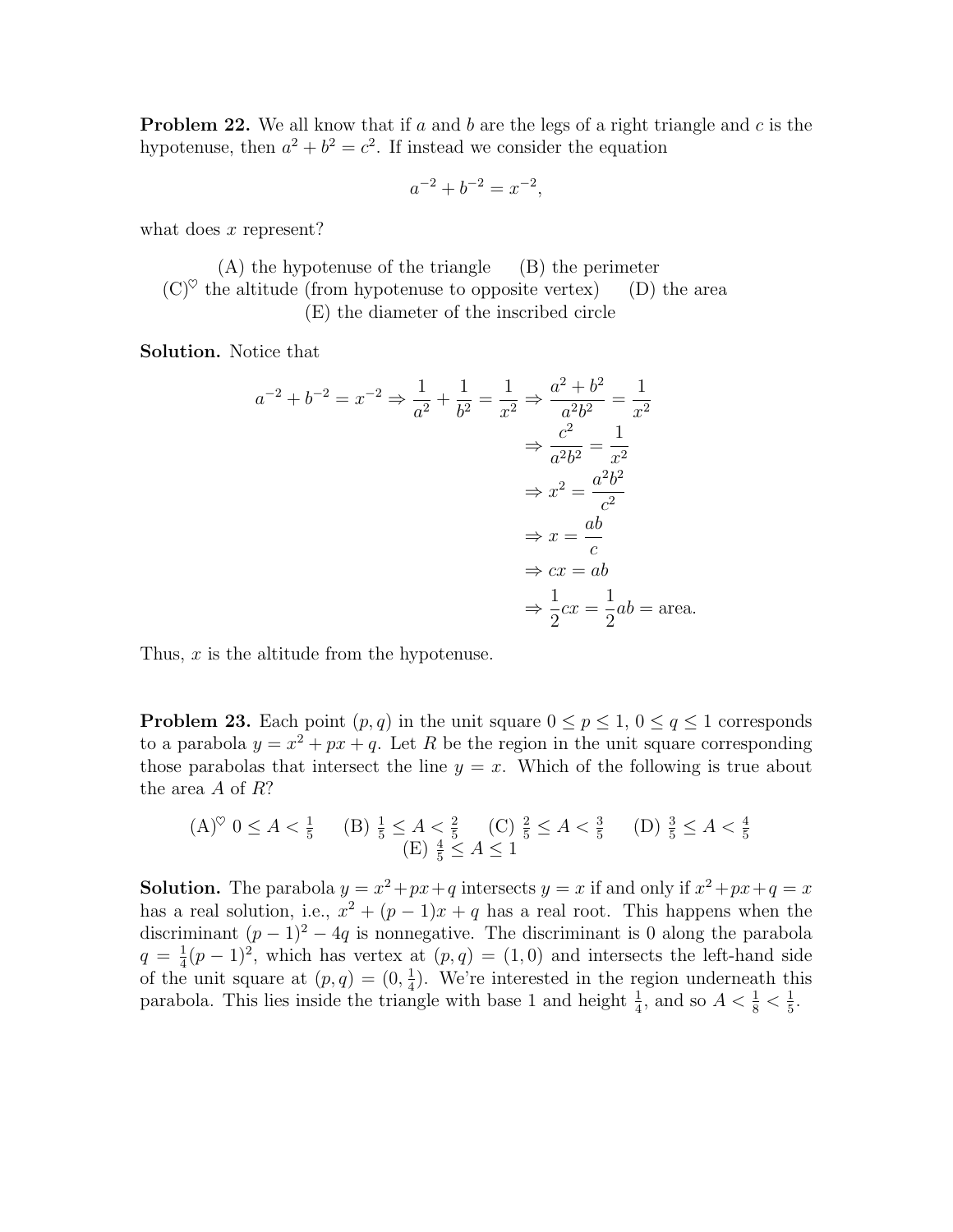<span id="page-10-0"></span>**Problem 22.** We all know that if a and b are the legs of a right triangle and c is the hypotenuse, then  $a^2 + b^2 = c^2$ . If instead we consider the equation

$$
a^{-2} + b^{-2} = x^{-2},
$$

what does  $x$  represent?

(A) the hypotenuse of the triangle (B) the perimeter  $(C)^\heartsuit$  the altitude (from hypotenuse to opposite vertex) (D) the area (E) the diameter of the inscribed circle

Solution. Notice that

$$
a^{-2} + b^{-2} = x^{-2} \Rightarrow \frac{1}{a^2} + \frac{1}{b^2} = \frac{1}{x^2} \Rightarrow \frac{a^2 + b^2}{a^2 b^2} = \frac{1}{x^2}
$$

$$
\Rightarrow \frac{c^2}{a^2 b^2} = \frac{1}{x^2}
$$

$$
\Rightarrow x^2 = \frac{a^2 b^2}{c^2}
$$

$$
\Rightarrow x = \frac{ab}{c}
$$

$$
\Rightarrow cx = ab
$$

$$
\Rightarrow \frac{1}{2}cx = \frac{1}{2}ab = \text{area.}
$$

Thus, x is the altitude from the hypotenuse.

**Problem 23.** Each point  $(p, q)$  in the unit square  $0 \leq p \leq 1$ ,  $0 \leq q \leq 1$  corresponds to a parabola  $y = x^2 + px + q$ . Let R be the region in the unit square corresponding those parabolas that intersect the line  $y = x$ . Which of the following is true about the area A of R?

$$
(A)^{\heartsuit} \ 0 \le A < \frac{1}{5} \quad (B) \ \frac{1}{5} \le A < \frac{2}{5} \quad (C) \ \frac{2}{5} \le A < \frac{3}{5} \quad (D) \ \frac{3}{5} \le A < \frac{4}{5} \quad (E) \ \frac{4}{5} \le A \le 1
$$

**Solution.** The parabola  $y = x^2 + px + q$  intersects  $y = x$  if and only if  $x^2 + px + q = x$ has a real solution, i.e.,  $x^2 + (p-1)x + q$  has a real root. This happens when the discriminant  $(p-1)^2 - 4q$  is nonnegative. The discriminant is 0 along the parabola  $q = \frac{1}{4}$  $\frac{1}{4}(p-1)^2$ , which has vertex at  $(p,q) = (1,0)$  and intersects the left-hand side of the unit square at  $(p, q) = (0, \frac{1}{4})$  $\frac{1}{4}$ ). We're interested in the region underneath this parabola. This lies inside the triangle with base 1 and height  $\frac{1}{4}$ , and so  $A < \frac{1}{8} < \frac{1}{5}$  $\frac{1}{5}$ .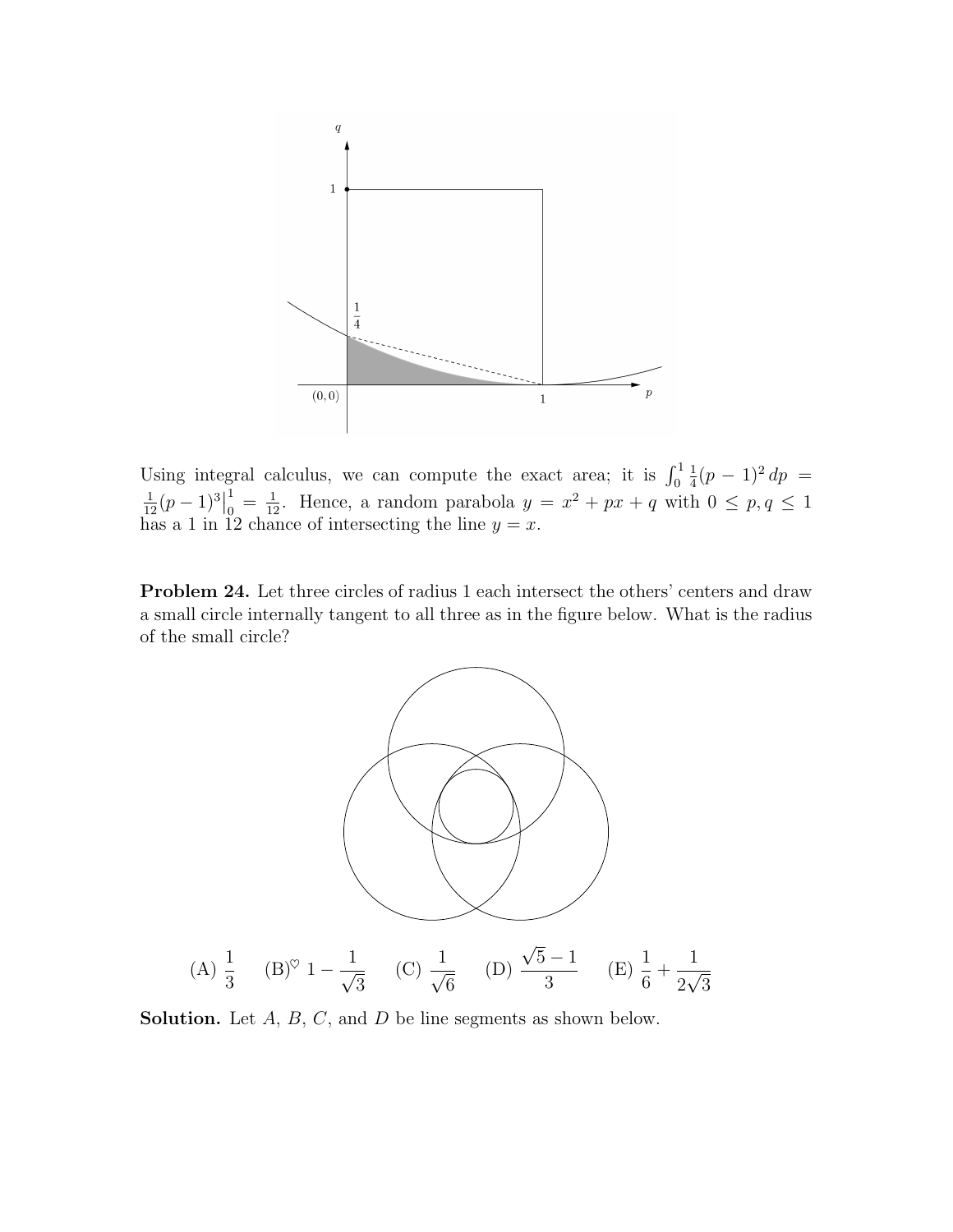

Using integral calculus, we can compute the exact area; it is  $\int_0^1$ 1  $\frac{1}{4}(p-1)^2 dp =$  $rac{1}{12}(p-1)^3$ 1  $\frac{1}{0} = \frac{1}{12}$ . Hence, a random parabola  $y = x^2 + px + q$  with  $0 \le p, q \le 1$ has a 1 in 12 chance of intersecting the line  $y = x$ .

Problem 24. Let three circles of radius 1 each intersect the others' centers and draw a small circle internally tangent to all three as in the figure below. What is the radius of the small circle?



**Solution.** Let  $A$ ,  $B$ ,  $C$ , and  $D$  be line segments as shown below.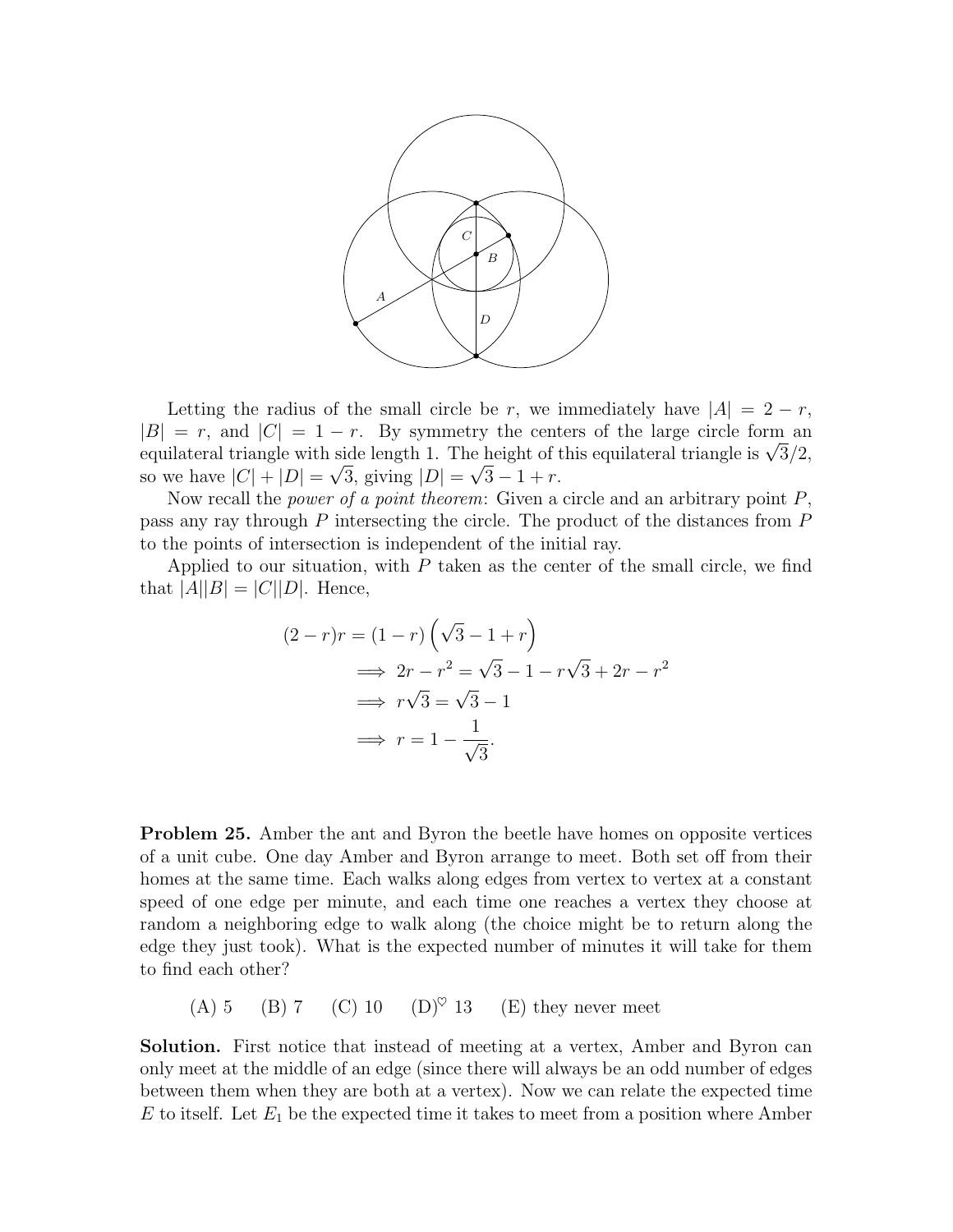

Letting the radius of the small circle be r, we immediately have  $|A| = 2 - r$ ,  $|B| = r$ , and  $|C| = 1 - r$ . By symmetry the centers of the large circle form an  $|B| = r$ , and  $|C| = 1 - r$ . By symmetry the centers of the large circle form an equilateral triangle with side length 1. The height of this equilateral triangle is  $\sqrt{3}/2$ , so we have  $|C| + |D| = \sqrt{3}$ , giving  $|D| = \sqrt{3} - 1 + r$ .

Now recall the *power of a point theorem*: Given a circle and an arbitrary point  $P$ , pass any ray through P intersecting the circle. The product of the distances from P to the points of intersection is independent of the initial ray.

Applied to our situation, with  $P$  taken as the center of the small circle, we find that  $|A||B| = |C||D|$ . Hence,

$$
(2-r)r = (1-r)\left(\sqrt{3}-1+r\right)
$$
  
\n
$$
\implies 2r - r^2 = \sqrt{3}-1 - r\sqrt{3} + 2r - r^2
$$
  
\n
$$
\implies r\sqrt{3} = \sqrt{3}-1
$$
  
\n
$$
\implies r = 1 - \frac{1}{\sqrt{3}}.
$$

**Problem 25.** Amber the ant and Byron the beetle have homes on opposite vertices of a unit cube. One day Amber and Byron arrange to meet. Both set off from their homes at the same time. Each walks along edges from vertex to vertex at a constant speed of one edge per minute, and each time one reaches a vertex they choose at random a neighboring edge to walk along (the choice might be to return along the edge they just took). What is the expected number of minutes it will take for them to find each other?

(A) 5 (B) 7 (C) 10 (D)<sup> $\heartsuit$ </sup> 13 (E) they never meet

Solution. First notice that instead of meeting at a vertex, Amber and Byron can only meet at the middle of an edge (since there will always be an odd number of edges between them when they are both at a vertex). Now we can relate the expected time  $E$  to itself. Let  $E_1$  be the expected time it takes to meet from a position where Amber